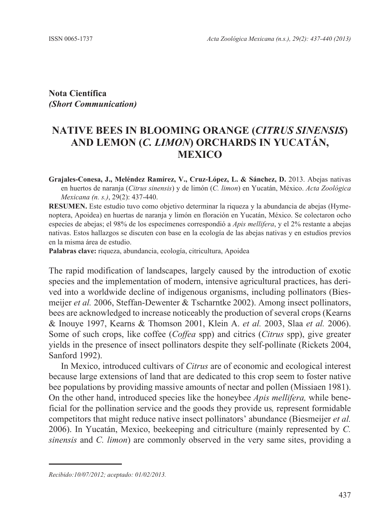**Nota Científica** *(Short Communication)*

## **NATIVE BEES IN BLOOMING ORANGE (***CITRUS SINENSIS***) AND LEMON (***C. LIMON***) ORCHARDS IN YUCATÁN, MEXICO**

**Grajales-Conesa, J., Meléndez Ramírez, V., Cruz-López, L. & Sánchez, D.** 2013. Abejas nativas en huertos de naranja (*Citrus sinensis*) y de limón (*C. limon*) en Yucatán, México. *Acta Zoológica Mexicana (n. s.)*, 29(2): 437-440.

**RESUMEN.** Este estudio tuvo como objetivo determinar la riqueza y la abundancia de abejas (Hymenoptera, Apoidea) en huertas de naranja y limón en floración en Yucatán, México. Se colectaron ocho especies de abejas; el 98% de los especímenes correspondió a *Apis mellifera*, y el 2% restante a abejas nativas. Estos hallazgos se discuten con base en la ecología de las abejas nativas y en estudios previos en la misma área de estudio.

**Palabras clave:** riqueza, abundancia, ecología, citricultura, Apoidea

The rapid modification of landscapes, largely caused by the introduction of exotic species and the implementation of modern, intensive agricultural practices, has derived into a worldwide decline of indigenous organisms, including pollinators (Biesmeijer *et al.* 2006, Steffan-Dewenter & Tscharntke 2002). Among insect pollinators, bees are acknowledged to increase noticeably the production of several crops (Kearns & Inouye 1997, Kearns & Thomson 2001, Klein A. *et al.* 2003, Slaa *et al.* 2006). Some of such crops, like coffee (*Coffea* spp) and citrics (*Citrus* spp), give greater yields in the presence of insect pollinators despite they self-pollinate (Rickets 2004, Sanford 1992). *Acta Zoológica Mexicana (n.s.), 29(2): 437-440*<br> **Nota Científica**<br> **IShort Communication)**<br> **INSTERNATIVE BEES IN BLOOMING ORANGE (CITRUS SINENS<br>
AND LEMON (C. LIMON) ORCHARDS IN YUCATÁN,<br>
MEXICO<br>
Crigistic Comean (a. ),** 

In Mexico, introduced cultivars of *Citrus* are of economic and ecological interest because large extensions of land that are dedicated to this crop seem to foster native bee populations by providing massive amounts of nectar and pollen (Missiaen 1981). On the other hand, introduced species like the honeybee *Apis mellifera,* while beneficial for the pollination service and the goods they provide us*,* represent formidable competitors that might reduce native insect pollinators' abundance (Biesmeijer *et al.* 2006). In Yucatán, Mexico, beekeeping and citriculture (mainly represented by *C. sinensis* and *C. limon*) are commonly observed in the very same sites, providing a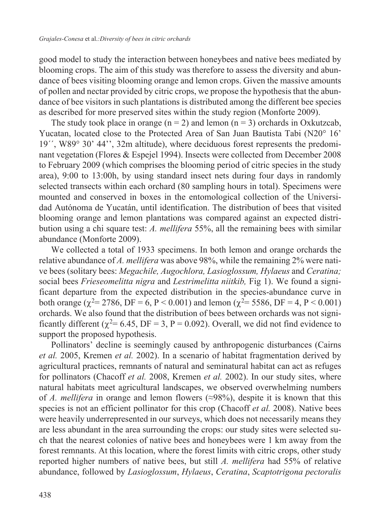good model to study the interaction between honeybees and native bees mediated by blooming crops. The aim of this study was therefore to assess the diversity and abundance of bees visiting blooming orange and lemon crops. Given the massive amounts of pollen and nectar provided by citric crops, we propose the hypothesis that the abundance of bee visitors in such plantations is distributed among the different bee species as described for more preserved sites within the study region (Monforte 2009).

The study took place in orange  $(n = 2)$  and lemon  $(n = 3)$  orchards in Oxkutzcab, Yucatan, located close to the Protected Area of San Juan Bautista Tabi (N20° 16' 19´´, W89° 30' 44'', 32m altitude), where deciduous forest represents the predominant vegetation (Flores & Espejel 1994). Insects were collected from December 2008 to February 2009 (which comprises the blooming period of citric species in the study area), 9:00 to 13:00h, by using standard insect nets during four days in randomly selected transects within each orchard (80 sampling hours in total). Specimens were mounted and conserved in boxes in the entomological collection of the Universidad Autónoma de Yucatán, until identification. The distribution of bees that visited blooming orange and lemon plantations was compared against an expected distribution using a chi square test: *A. mellifera* 55%, all the remaining bees with similar abundance (Monforte 2009).

We collected a total of 1933 specimens. In both lemon and orange orchards the relative abundance of *A. mellifera* was above 98%, while the remaining 2% were native bees (solitary bees: *Megachile, Augochlora, Lasioglossum, Hylaeus* and *Ceratina;*  social bees *Frieseomelitta nigra* and *Lestrimelitta niitkib,* Fig 1). We found a significant departure from the expected distribution in the species-abundance curve in both orange ( $\chi^2$ = 2786, DF = 6, P < 0.001) and lemon ( $\chi^2$ = 5586, DF = 4, P < 0.001) orchards. We also found that the distribution of bees between orchards was not significantly different ( $\chi^2$ = 6.45, DF = 3, P = 0.092). Overall, we did not find evidence to support the proposed hypothesis.

Pollinators' decline is seemingly caused by anthropogenic disturbances (Cairns *et al.* 2005, Kremen *et al.* 2002). In a scenario of habitat fragmentation derived by agricultural practices, remnants of natural and seminatural habitat can act as refuges for pollinators (Chacoff *et al.* 2008, Kremen *et al.* 2002). In our study sites, where natural habitats meet agricultural landscapes, we observed overwhelming numbers of *A. mellifera* in orange and lemon flowers (≈98%), despite it is known that this species is not an efficient pollinator for this crop (Chacoff *et al.* 2008). Native bees were heavily underrepresented in our surveys, which does not necessarily means they are less abundant in the area surrounding the crops: our study sites were selected such that the nearest colonies of native bees and honeybees were 1 km away from the forest remnants. At this location, where the forest limits with citric crops, other study reported higher numbers of native bees, but still *A. mellifera* had 55% of relative abundance, followed by *Lasioglossum*, *Hylaeus*, *Ceratina*, *Scaptotrigona pectoralis*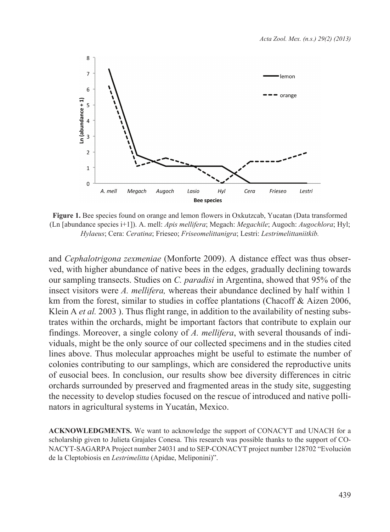

**Figure 1.** Bee species found on orange and lemon flowers in Oxkutzcab, Yucatan (Data transformed (Ln [abundance species i+1]). A. mell: *Apis mellifera*; Megach: *Megachile*; Augoch: *Augochlora*; Hyl; *Hylaeus*; Cera: *Ceratina*; Frieseo; *Friseomelittanigra*; Lestri: *Lestrimelittaniitkib.*

and *Cephalotrigona zexmeniae* (Monforte 2009). A distance effect was thus observed, with higher abundance of native bees in the edges, gradually declining towards our sampling transects. Studies on *C. paradisi* in Argentina, showed that 95% of the insect visitors were *A. mellifera,* whereas their abundance declined by half within 1 km from the forest, similar to studies in coffee plantations (Chacoff & Aizen 2006, Klein A *et al.* 2003 ). Thus flight range, in addition to the availability of nesting substrates within the orchards, might be important factors that contribute to explain our findings. Moreover, a single colony of *A. mellifera*, with several thousands of individuals, might be the only source of our collected specimens and in the studies cited lines above. Thus molecular approaches might be useful to estimate the number of colonies contributing to our samplings, which are considered the reproductive units of eusocial bees. In conclusion, our results show bee diversity differences in citric orchards surrounded by preserved and fragmented areas in the study site, suggesting the necessity to develop studies focused on the rescue of introduced and native pollinators in agricultural systems in Yucatán, Mexico.

**Acknowledgments.** We want to acknowledge the support of CONACYT and UNACH for a scholarship given to Julieta Grajales Conesa. This research was possible thanks to the support of CO-NACYT-SAGARPA Project number 24031 and to SEP-CONACYT project number 128702 "Evolución de la Cleptobiosis en *Lestrimelitta* (Apidae, Meliponini)".